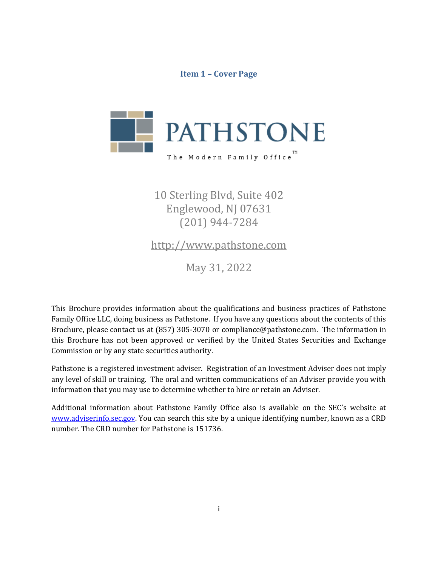# **Item 1 – Cover Page**

<span id="page-0-0"></span>

10 Sterling Blvd, Suite 402

Englewood, NJ 07631 (201) 944-7284

[http://www.pathstone.com](http://www.pathstone.com/)

May 31, 2022

This Brochure provides information about the qualifications and business practices of Pathstone Family Office LLC, doing business as Pathstone. If you have any questions about the contents of this Brochure, please contact us at (857) 305-3070 or compliance@pathstone.com. The information in this Brochure has not been approved or verified by the United States Securities and Exchange Commission or by any state securities authority.

Pathstone is a registered investment adviser. Registration of an Investment Adviser does not imply any level of skill or training. The oral and written communications of an Adviser provide you with information that you may use to determine whether to hire or retain an Adviser.

Additional information about Pathstone Family Office also is available on the SEC's website at [www.adviserinfo.sec.gov.](http://www.adviserinfo.sec.gov/) You can search this site by a unique identifying number, known as a CRD number. The CRD number for Pathstone is 151736.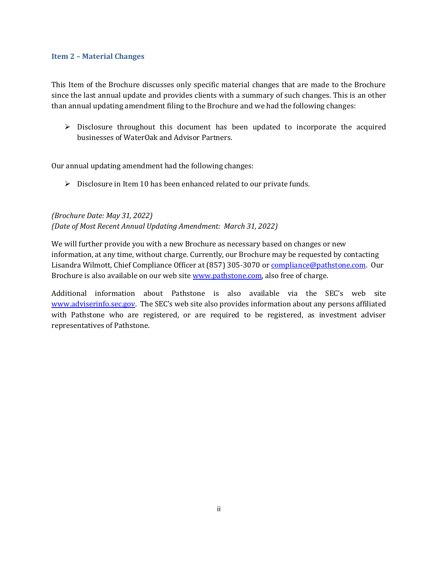## <span id="page-1-0"></span>**Item 2 – Material Changes**

This Item of the Brochure discusses only specific material changes that are made to the Brochure since the last annual update and provides clients with a summary of such changes. This is an other than annual updating amendment filing to the Brochure and we had the following changes:

➢ Disclosure throughout this document has been updated to incorporate the acquired businesses of WaterOak and Advisor Partners.

Our annual updating amendment had the following changes:

➢ Disclosure in Item 10 has been enhanced related to our private funds.

# *(Brochure Date: May 31, 2022) (Date of Most Recent Annual Updating Amendment: March 31, 2022)*

We will further provide you with a new Brochure as necessary based on changes or new information, at any time, without charge. Currently, our Brochure may be requested by contacting Lisandra Wilmott, Chief Compliance Officer at (857) 305-3070 or [compliance@pathstone.com.](mailto:msher@pathstone.com) Our Brochure is also available on our web sit[e www.pathstone.com,](http://www.pathstone.com/) also free of charge.

Additional information about Pathstone is also available via the SEC's web site [www.adviserinfo.sec.gov](http://www.adviserinfo.sec.gov/). The SEC's web site also provides information about any persons affiliated with Pathstone who are registered, or are required to be registered, as investment adviser representatives of Pathstone.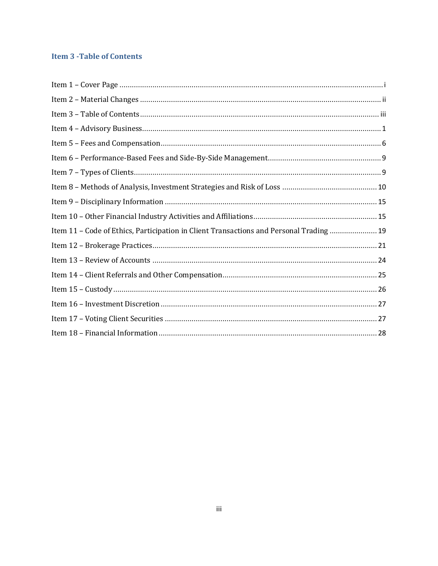# <span id="page-2-0"></span>**Item 3 - Table of Contents**

| Item 11 - Code of Ethics, Participation in Client Transactions and Personal Trading 19 |  |
|----------------------------------------------------------------------------------------|--|
|                                                                                        |  |
|                                                                                        |  |
|                                                                                        |  |
|                                                                                        |  |
|                                                                                        |  |
|                                                                                        |  |
|                                                                                        |  |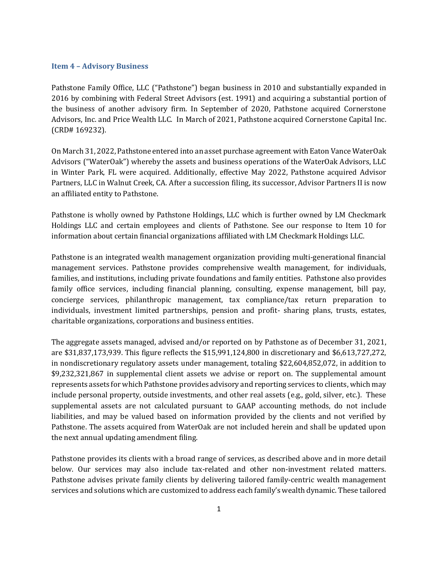#### <span id="page-3-0"></span>**Item 4 – Advisory Business**

Pathstone Family Office, LLC ("Pathstone") began business in 2010 and substantially expanded in 2016 by combining with Federal Street Advisors (est. 1991) and acquiring a substantial portion of the business of another advisory firm. In September of 2020, Pathstone acquired Cornerstone Advisors, Inc. and Price Wealth LLC. In March of 2021, Pathstone acquired Cornerstone Capital Inc. (CRD# 169232).

On March 31, 2022, Pathstone entered into an asset purchase agreement with Eaton Vance WaterOak Advisors ("WaterOak") whereby the assets and business operations of the WaterOak Advisors, LLC in Winter Park, FL were acquired. Additionally, effective May 2022, Pathstone acquired Advisor Partners, LLC in Walnut Creek, CA. After a succession filing, its successor, Advisor Partners II is now an affiliated entity to Pathstone.

Pathstone is wholly owned by Pathstone Holdings, LLC which is further owned by LM Checkmark Holdings LLC and certain employees and clients of Pathstone. See our response to Item 10 for information about certain financial organizations affiliated with LM Checkmark Holdings LLC.

Pathstone is an integrated wealth management organization providing multi-generational financial management services. Pathstone provides comprehensive wealth management, for individuals, families, and institutions, including private foundations and family entities. Pathstone also provides family office services, including financial planning, consulting, expense management, bill pay, concierge services, philanthropic management, tax compliance/tax return preparation to individuals, investment limited partnerships, pension and profit- sharing plans, trusts, estates, charitable organizations, corporations and business entities.

The aggregate assets managed, advised and/or reported on by Pathstone as of December 31, 2021, are \$31,837,173,939. This figure reflects the \$15,991,124,800 in discretionary and \$6,613,727,272, in nondiscretionary regulatory assets under management, totaling \$22,604,852,072, in addition to \$9,232,321,867 in supplemental client assets we advise or report on. The supplemental amount represents assets for which Pathstone provides advisory and reporting services to clients, which may include personal property, outside investments, and other real assets (e.g., gold, silver, etc.). These supplemental assets are not calculated pursuant to GAAP accounting methods, do not include liabilities, and may be valued based on information provided by the clients and not verified by Pathstone. The assets acquired from WaterOak are not included herein and shall be updated upon the next annual updating amendment filing.

Pathstone provides its clients with a broad range of services, as described above and in more detail below. Our services may also include tax-related and other non-investment related matters. Pathstone advises private family clients by delivering tailored family-centric wealth management services and solutions which are customized to address each family's wealth dynamic. These tailored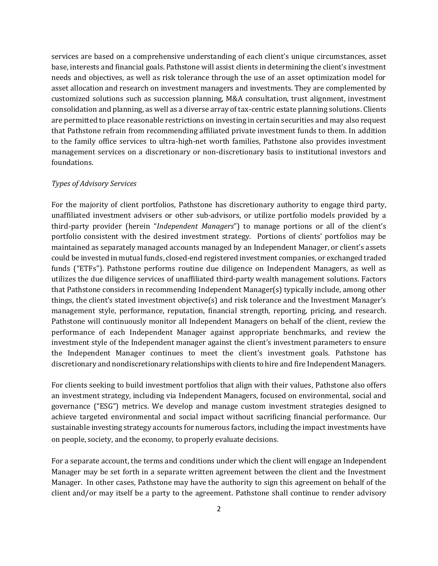services are based on a comprehensive understanding of each client's unique circumstances, asset base, interests and financial goals. Pathstone will assist clients in determining the client's investment needs and objectives, as well as risk tolerance through the use of an asset optimization model for asset allocation and research on investment managers and investments. They are complemented by customized solutions such as succession planning, M&A consultation, trust alignment, investment consolidation and planning, as well as a diverse array of tax-centric estate planning solutions. Clients are permitted to place reasonable restrictions on investing in certain securities and may also request that Pathstone refrain from recommending affiliated private investment funds to them. In addition to the family office services to ultra-high-net worth families, Pathstone also provides investment management services on a discretionary or non-discretionary basis to institutional investors and foundations.

#### *Types of Advisory Services*

For the majority of client portfolios, Pathstone has discretionary authority to engage third party, unaffiliated investment advisers or other sub-advisors, or utilize portfolio models provided by a third-party provider (herein "*Independent Managers*") to manage portions or all of the client's portfolio consistent with the desired investment strategy. Portions of clients' portfolios may be maintained as separately managed accounts managed by an Independent Manager, or client's assets could be invested in mutual funds, closed-end registered investment companies, or exchanged traded funds ("ETFs"). Pathstone performs routine due diligence on Independent Managers, as well as utilizes the due diligence services of unaffiliated third-party wealth management solutions. Factors that Pathstone considers in recommending Independent Manager(s) typically include, among other things, the client's stated investment objective(s) and risk tolerance and the Investment Manager's management style, performance, reputation, financial strength, reporting, pricing, and research. Pathstone will continuously monitor all Independent Managers on behalf of the client, review the performance of each Independent Manager against appropriate benchmarks, and review the investment style of the Independent manager against the client's investment parameters to ensure the Independent Manager continues to meet the client's investment goals. Pathstone has discretionary and nondiscretionary relationships with clients to hire and fire Independent Managers.

For clients seeking to build investment portfolios that align with their values, Pathstone also offers an investment strategy, including via Independent Managers, focused on environmental, social and governance ("ESG") metrics. We develop and manage custom investment strategies designed to achieve targeted environmental and social impact without sacrificing financial performance. Our sustainable investing strategy accounts for numerous factors, including the impact investments have on people, society, and the economy, to properly evaluate decisions.

For a separate account, the terms and conditions under which the client will engage an Independent Manager may be set forth in a separate written agreement between the client and the Investment Manager. In other cases, Pathstone may have the authority to sign this agreement on behalf of the client and/or may itself be a party to the agreement. Pathstone shall continue to render advisory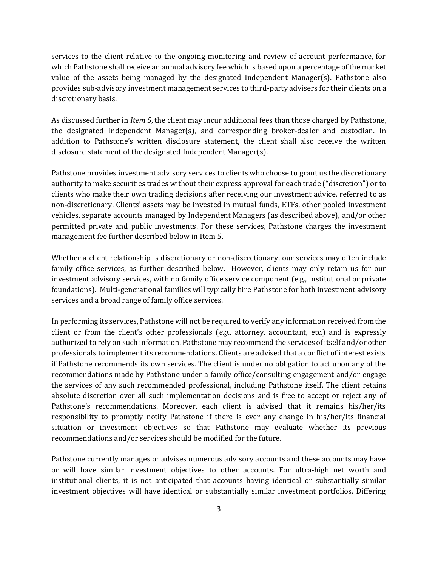services to the client relative to the ongoing monitoring and review of account performance, for which Pathstone shall receive an annual advisory fee which is based upon a percentage of the market value of the assets being managed by the designated Independent Manager(s). Pathstone also provides sub-advisory investment management services to third-party advisers for their clients on a discretionary basis.

As discussed further in *Item 5*, the client may incur additional fees than those charged by Pathstone, the designated Independent Manager(s), and corresponding broker-dealer and custodian. In addition to Pathstone's written disclosure statement, the client shall also receive the written disclosure statement of the designated Independent Manager(s).

Pathstone provides investment advisory services to clients who choose to grant us the discretionary authority to make securities trades without their express approval for each trade ("discretion") or to clients who make their own trading decisions after receiving our investment advice, referred to as non-discretionary. Clients' assets may be invested in mutual funds, ETFs, other pooled investment vehicles, separate accounts managed by Independent Managers (as described above), and/or other permitted private and public investments. For these services, Pathstone charges the investment management fee further described below in Item 5.

Whether a client relationship is discretionary or non-discretionary, our services may often include family office services, as further described below. However, clients may only retain us for our investment advisory services, with no family office service component (e.g., institutional or private foundations). Multi-generational families will typically hire Pathstone for both investment advisory services and a broad range of family office services.

In performing its services, Pathstone will not be required to verify any information received from the client or from the client's other professionals (*e.g*., attorney, accountant, etc.) and is expressly authorized to rely on such information. Pathstone may recommend the services of itself and/or other professionals to implement its recommendations. Clients are advised that a conflict of interest exists if Pathstone recommends its own services. The client is under no obligation to act upon any of the recommendations made by Pathstone under a family office/consulting engagement and/or engage the services of any such recommended professional, including Pathstone itself. The client retains absolute discretion over all such implementation decisions and is free to accept or reject any of Pathstone's recommendations. Moreover, each client is advised that it remains his/her/its responsibility to promptly notify Pathstone if there is ever any change in his/her/its financial situation or investment objectives so that Pathstone may evaluate whether its previous recommendations and/or services should be modified for the future.

Pathstone currently manages or advises numerous advisory accounts and these accounts may have or will have similar investment objectives to other accounts. For ultra-high net worth and institutional clients, it is not anticipated that accounts having identical or substantially similar investment objectives will have identical or substantially similar investment portfolios. Differing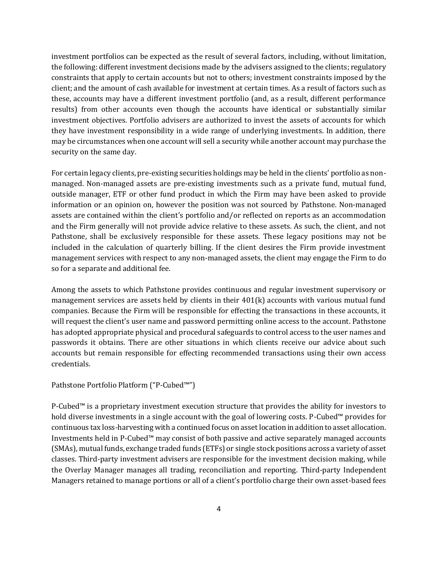investment portfolios can be expected as the result of several factors, including, without limitation, the following: different investment decisions made by the advisers assigned to the clients; regulatory constraints that apply to certain accounts but not to others; investment constraints imposed by the client; and the amount of cash available for investment at certain times. As a result of factors such as these, accounts may have a different investment portfolio (and, as a result, different performance results) from other accounts even though the accounts have identical or substantially similar investment objectives. Portfolio advisers are authorized to invest the assets of accounts for which they have investment responsibility in a wide range of underlying investments. In addition, there may be circumstances when one account will sell a security while another account may purchase the security on the same day.

For certain legacy clients, pre-existing securities holdings may be held in the clients' portfolio as nonmanaged. Non-managed assets are pre-existing investments such as a private fund, mutual fund, outside manager, ETF or other fund product in which the Firm may have been asked to provide information or an opinion on, however the position was not sourced by Pathstone. Non-managed assets are contained within the client's portfolio and/or reflected on reports as an accommodation and the Firm generally will not provide advice relative to these assets. As such, the client, and not Pathstone, shall be exclusively responsible for these assets. These legacy positions may not be included in the calculation of quarterly billing. If the client desires the Firm provide investment management services with respect to any non-managed assets, the client may engage the Firm to do so for a separate and additional fee.

Among the assets to which Pathstone provides continuous and regular investment supervisory or management services are assets held by clients in their 401(k) accounts with various mutual fund companies. Because the Firm will be responsible for effecting the transactions in these accounts, it will request the client's user name and password permitting online access to the account. Pathstone has adopted appropriate physical and procedural safeguards to control access to the user names and passwords it obtains. There are other situations in which clients receive our advice about such accounts but remain responsible for effecting recommended transactions using their own access credentials.

## Pathstone Portfolio Platform ("P-Cubed™")

P-Cubed™ is a proprietary investment execution structure that provides the ability for investors to hold diverse investments in a single account with the goal of lowering costs. P-Cubed™ provides for continuous tax loss-harvesting with a continued focus on asset location in addition to asset allocation. Investments held in P-Cubed™ may consist of both passive and active separately managed accounts (SMAs), mutual funds, exchange traded funds (ETFs) or single stock positions across a variety of asset classes. Third-party investment advisers are responsible for the investment decision making, while the Overlay Manager manages all trading, reconciliation and reporting. Third-party Independent Managers retained to manage portions or all of a client's portfolio charge their own asset-based fees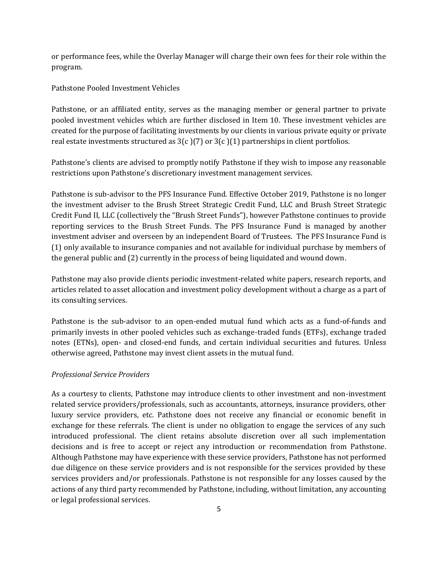or performance fees, while the Overlay Manager will charge their own fees for their role within the program.

Pathstone Pooled Investment Vehicles

Pathstone, or an affiliated entity, serves as the managing member or general partner to private pooled investment vehicles which are further disclosed in Item 10. These investment vehicles are created for the purpose of facilitating investments by our clients in various private equity or private real estate investments structured as  $3(c)(7)$  or  $3(c)(1)$  partnerships in client portfolios.

Pathstone's clients are advised to promptly notify Pathstone if they wish to impose any reasonable restrictions upon Pathstone's discretionary investment management services.

Pathstone is sub-advisor to the PFS Insurance Fund. Effective October 2019, Pathstone is no longer the investment adviser to the Brush Street Strategic Credit Fund, LLC and Brush Street Strategic Credit Fund II, LLC (collectively the "Brush Street Funds"), however Pathstone continues to provide reporting services to the Brush Street Funds. The PFS Insurance Fund is managed by another investment adviser and overseen by an independent Board of Trustees. The PFS Insurance Fund is (1) only available to insurance companies and not available for individual purchase by members of the general public and (2) currently in the process of being liquidated and wound down.

Pathstone may also provide clients periodic investment-related white papers, research reports, and articles related to asset allocation and investment policy development without a charge as a part of its consulting services.

Pathstone is the sub-advisor to an open-ended mutual fund which acts as a fund-of-funds and primarily invests in other pooled vehicles such as exchange-traded funds (ETFs), exchange traded notes (ETNs), open- and closed-end funds, and certain individual securities and futures. Unless otherwise agreed, Pathstone may invest client assets in the mutual fund.

## *Professional Service Providers*

As a courtesy to clients, Pathstone may introduce clients to other investment and non-investment related service providers/professionals, such as accountants, attorneys, insurance providers, other luxury service providers, etc. Pathstone does not receive any financial or economic benefit in exchange for these referrals. The client is under no obligation to engage the services of any such introduced professional. The client retains absolute discretion over all such implementation decisions and is free to accept or reject any introduction or recommendation from Pathstone. Although Pathstone may have experience with these service providers, Pathstone has not performed due diligence on these service providers and is not responsible for the services provided by these services providers and/or professionals. Pathstone is not responsible for any losses caused by the actions of any third party recommended by Pathstone, including, without limitation, any accounting or legal professional services.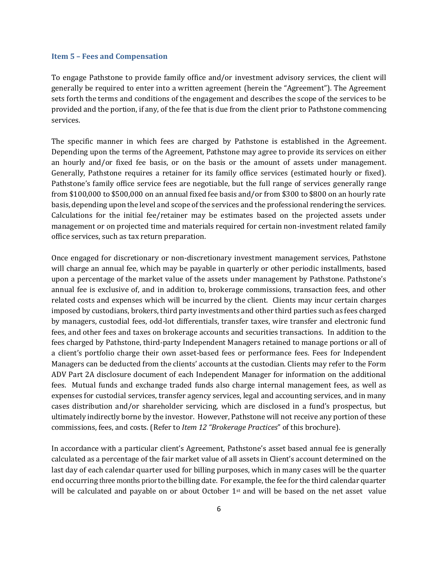#### <span id="page-8-0"></span>**Item 5 – Fees and Compensation**

To engage Pathstone to provide family office and/or investment advisory services, the client will generally be required to enter into a written agreement (herein the "Agreement"). The Agreement sets forth the terms and conditions of the engagement and describes the scope of the services to be provided and the portion, if any, of the fee that is due from the client prior to Pathstone commencing services.

The specific manner in which fees are charged by Pathstone is established in the Agreement. Depending upon the terms of the Agreement, Pathstone may agree to provide its services on either an hourly and/or fixed fee basis, or on the basis or the amount of assets under management. Generally, Pathstone requires a retainer for its family office services (estimated hourly or fixed). Pathstone's family office service fees are negotiable, but the full range of services generally range from \$100,000 to \$500,000 on an annual fixed fee basis and/or from \$300 to \$800 on an hourly rate basis, depending upon the level and scope of the services and the professional rendering the services. Calculations for the initial fee/retainer may be estimates based on the projected assets under management or on projected time and materials required for certain non-investment related family office services, such as tax return preparation.

Once engaged for discretionary or non-discretionary investment management services, Pathstone will charge an annual fee, which may be payable in quarterly or other periodic installments, based upon a percentage of the market value of the assets under management by Pathstone. Pathstone's annual fee is exclusive of, and in addition to, brokerage commissions, transaction fees, and other related costs and expenses which will be incurred by the client. Clients may incur certain charges imposed by custodians, brokers, third party investments and other third parties such as fees charged by managers, custodial fees, odd-lot differentials, transfer taxes, wire transfer and electronic fund fees, and other fees and taxes on brokerage accounts and securities transactions. In addition to the fees charged by Pathstone, third-party Independent Managers retained to manage portions or all of a client's portfolio charge their own asset-based fees or performance fees. Fees for Independent Managers can be deducted from the clients' accounts at the custodian. Clients may refer to the Form ADV Part 2A disclosure document of each Independent Manager for information on the additional fees. Mutual funds and exchange traded funds also charge internal management fees, as well as expenses for custodial services, transfer agency services, legal and accounting services, and in many cases distribution and/or shareholder servicing, which are disclosed in a fund's prospectus, but ultimately indirectly borne by the investor. However, Pathstone will not receive any portion of these commissions, fees, and costs. (Refer to *Item 12 "Brokerage Practices*" of this brochure).

In accordance with a particular client's Agreement, Pathstone's asset based annual fee is generally calculated as a percentage of the fair market value of all assets in Client's account determined on the last day of each calendar quarter used for billing purposes, which in many cases will be the quarter end occurring three months priorto the billing date. For example, the fee for the third calendar quarter will be calculated and payable on or about October 1<sup>st</sup> and will be based on the net asset value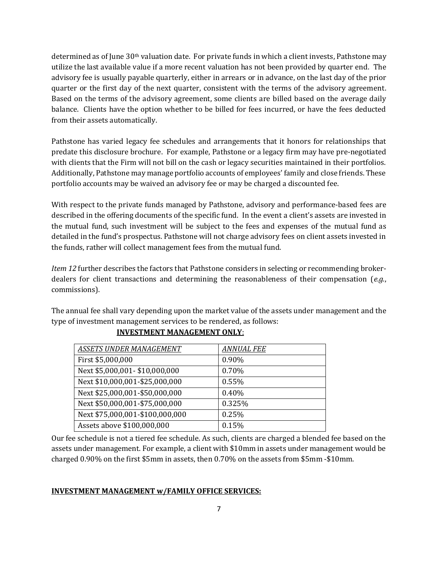determined as of June 30th valuation date. For private funds in which a client invests, Pathstone may utilize the last available value if a more recent valuation has not been provided by quarter end. The advisory fee is usually payable quarterly, either in arrears or in advance, on the last day of the prior quarter or the first day of the next quarter, consistent with the terms of the advisory agreement. Based on the terms of the advisory agreement, some clients are billed based on the average daily balance. Clients have the option whether to be billed for fees incurred, or have the fees deducted from their assets automatically.

Pathstone has varied legacy fee schedules and arrangements that it honors for relationships that predate this disclosure brochure. For example, Pathstone or a legacy firm may have pre-negotiated with clients that the Firm will not bill on the cash or legacy securities maintained in their portfolios. Additionally, Pathstone may manage portfolio accounts of employees' family and close friends. These portfolio accounts may be waived an advisory fee or may be charged a discounted fee.

With respect to the private funds managed by Pathstone, advisory and performance-based fees are described in the offering documents of the specific fund. In the event a client's assets are invested in the mutual fund, such investment will be subject to the fees and expenses of the mutual fund as detailed in the fund's prospectus. Pathstone will not charge advisory fees on client assets invested in the funds, rather will collect management fees from the mutual fund.

*Item 12* further describes the factors that Pathstone considers in selecting or recommending brokerdealers for client transactions and determining the reasonableness of their compensation (*e.g.*, commissions).

The annual fee shall vary depending upon the market value of the assets under management and the type of investment management services to be rendered, as follows:

| <b>ASSETS UNDER MANAGEMENT</b>  | <b>ANNUAL FEE</b> |
|---------------------------------|-------------------|
| First \$5,000,000               | 0.90%             |
| Next \$5,000,001-\$10,000,000   | 0.70%             |
| Next \$10,000,001-\$25,000,000  | 0.55%             |
| Next \$25,000,001-\$50,000,000  | 0.40%             |
| Next \$50,000,001-\$75,000,000  | 0.325%            |
| Next \$75,000,001-\$100,000,000 | 0.25%             |
| Assets above \$100,000,000      | 0.15%             |

# **INVESTMENT MANAGEMENT ONLY**:

Our fee schedule is not a tiered fee schedule. As such, clients are charged a blended fee based on the assets under management. For example, a client with \$10mm in assets under management would be charged 0.90% on the first \$5mm in assets, then 0.70% on the assets from \$5mm -\$10mm.

# **INVESTMENT MANAGEMENT w/FAMILY OFFICE SERVICES:**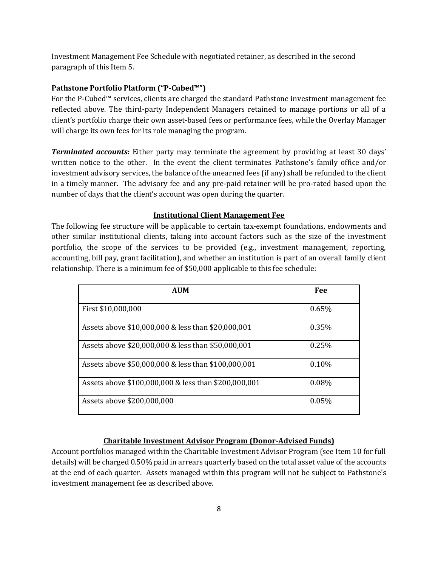Investment Management Fee Schedule with negotiated retainer, as described in the second paragraph of this Item 5.

## **Pathstone Portfolio Platform ("P-Cubed™")**

For the P-Cubed™ services, clients are charged the standard Pathstone investment management fee reflected above. The third-party Independent Managers retained to manage portions or all of a client's portfolio charge their own asset-based fees or performance fees, while the Overlay Manager will charge its own fees for its role managing the program.

**Terminated accounts:** Either party may terminate the agreement by providing at least 30 days' written notice to the other. In the event the client terminates Pathstone's family office and/or investment advisory services, the balance of the unearned fees (if any) shall be refunded to the client in a timely manner. The advisory fee and any pre-paid retainer will be pro-rated based upon the number of days that the client's account was open during the quarter.

## **Institutional Client Management Fee**

The following fee structure will be applicable to certain tax-exempt foundations, endowments and other similar institutional clients, taking into account factors such as the size of the investment portfolio, the scope of the services to be provided (e.g., investment management, reporting, accounting, bill pay, grant facilitation), and whether an institution is part of an overall family client relationship. There is a minimum fee of \$50,000 applicable to this fee schedule:

| <b>AUM</b>                                           | Fee   |
|------------------------------------------------------|-------|
| First \$10,000,000                                   | 0.65% |
| Assets above \$10,000,000 & less than \$20,000,001   | 0.35% |
| Assets above \$20,000,000 & less than \$50,000,001   | 0.25% |
| Assets above \$50,000,000 & less than \$100,000,001  | 0.10% |
| Assets above \$100,000,000 & less than \$200,000,001 | 0.08% |
| Assets above \$200,000,000                           | 0.05% |

# **Charitable Investment Advisor Program (Donor-Advised Funds)**

Account portfolios managed within the Charitable Investment Advisor Program (see Item 10 for full details) will be charged 0.50% paid in arrears quarterly based on the total asset value of the accounts at the end of each quarter. Assets managed within this program will not be subject to Pathstone's investment management fee as described above.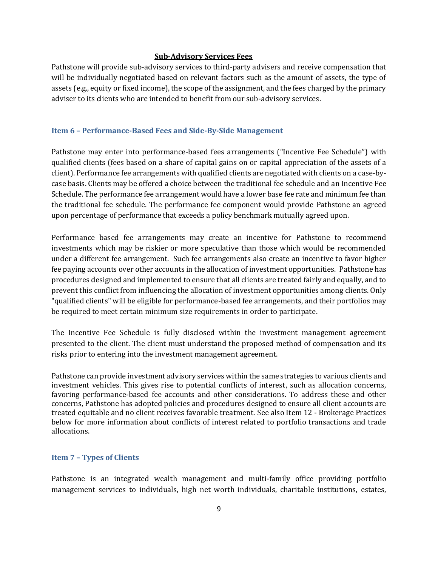#### **Sub-Advisory Services Fees**

Pathstone will provide sub-advisory services to third-party advisers and receive compensation that will be individually negotiated based on relevant factors such as the amount of assets, the type of assets (e.g., equity or fixed income), the scope of the assignment, and the fees charged by the primary adviser to its clients who are intended to benefit from our sub-advisory services.

#### <span id="page-11-0"></span>**Item 6 – Performance-Based Fees and Side-By-Side Management**

Pathstone may enter into performance-based fees arrangements ("Incentive Fee Schedule") with qualified clients (fees based on a share of capital gains on or capital appreciation of the assets of a client). Performance fee arrangements with qualified clients are negotiated with clients on a case-bycase basis. Clients may be offered a choice between the traditional fee schedule and an Incentive Fee Schedule. The performance fee arrangement would have a lower base fee rate and minimum fee than the traditional fee schedule. The performance fee component would provide Pathstone an agreed upon percentage of performance that exceeds a policy benchmark mutually agreed upon.

Performance based fee arrangements may create an incentive for Pathstone to recommend investments which may be riskier or more speculative than those which would be recommended under a different fee arrangement. Such fee arrangements also create an incentive to favor higher fee paying accounts over other accounts in the allocation of investment opportunities. Pathstone has procedures designed and implemented to ensure that all clients are treated fairly and equally, and to prevent this conflict from influencing the allocation of investment opportunities among clients. Only "qualified clients" will be eligible for performance-based fee arrangements, and their portfolios may be required to meet certain minimum size requirements in order to participate.

The Incentive Fee Schedule is fully disclosed within the investment management agreement presented to the client. The client must understand the proposed method of compensation and its risks prior to entering into the investment management agreement.

Pathstone can provide investment advisory services within the same strategies to various clients and investment vehicles. This gives rise to potential conflicts of interest, such as allocation concerns, favoring performance-based fee accounts and other considerations. To address these and other concerns, Pathstone has adopted policies and procedures designed to ensure all client accounts are treated equitable and no client receives favorable treatment. See also Item 12 - Brokerage Practices below for more information about conflicts of interest related to portfolio transactions and trade allocations.

## <span id="page-11-1"></span>**Item 7 – Types of Clients**

Pathstone is an integrated wealth management and multi-family office providing portfolio management services to individuals, high net worth individuals, charitable institutions, estates,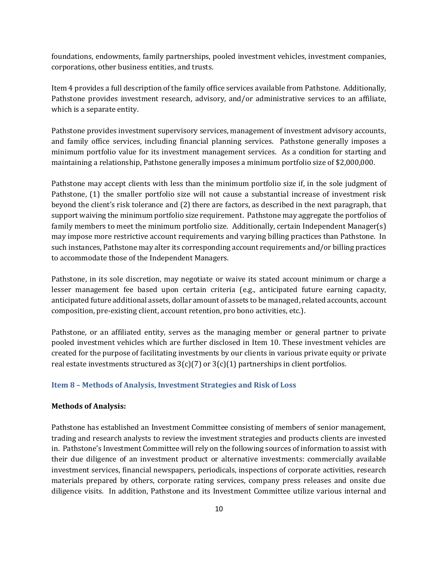foundations, endowments, family partnerships, pooled investment vehicles, investment companies, corporations, other business entities, and trusts.

Item 4 provides a full description of the family office services available from Pathstone. Additionally, Pathstone provides investment research, advisory, and/or administrative services to an affiliate, which is a separate entity.

Pathstone provides investment supervisory services, management of investment advisory accounts, and family office services, including financial planning services. Pathstone generally imposes a minimum portfolio value for its investment management services. As a condition for starting and maintaining a relationship, Pathstone generally imposes a minimum portfolio size of \$2,000,000.

Pathstone may accept clients with less than the minimum portfolio size if, in the sole judgment of Pathstone, (1) the smaller portfolio size will not cause a substantial increase of investment risk beyond the client's risk tolerance and (2) there are factors, as described in the next paragraph, that support waiving the minimum portfolio size requirement. Pathstone may aggregate the portfolios of family members to meet the minimum portfolio size. Additionally, certain Independent Manager(s) may impose more restrictive account requirements and varying billing practices than Pathstone. In such instances, Pathstone may alter its corresponding account requirements and/or billing practices to accommodate those of the Independent Managers.

Pathstone, in its sole discretion, may negotiate or waive its stated account minimum or charge a lesser management fee based upon certain criteria (e.g., anticipated future earning capacity, anticipated future additional assets, dollar amount of assets to be managed, related accounts, account composition, pre-existing client, account retention, pro bono activities, etc.).

Pathstone, or an affiliated entity, serves as the managing member or general partner to private pooled investment vehicles which are further disclosed in Item 10. These investment vehicles are created for the purpose of facilitating investments by our clients in various private equity or private real estate investments structured as  $3(c)(7)$  or  $3(c)(1)$  partnerships in client portfolios.

## <span id="page-12-0"></span>**Item 8 – Methods of Analysis, Investment Strategies and Risk of Loss**

#### **Methods of Analysis:**

Pathstone has established an Investment Committee consisting of members of senior management, trading and research analysts to review the investment strategies and products clients are invested in. Pathstone's Investment Committee will rely on the following sources of information to assist with their due diligence of an investment product or alternative investments: commercially available investment services, financial newspapers, periodicals, inspections of corporate activities, research materials prepared by others, corporate rating services, company press releases and onsite due diligence visits. In addition, Pathstone and its Investment Committee utilize various internal and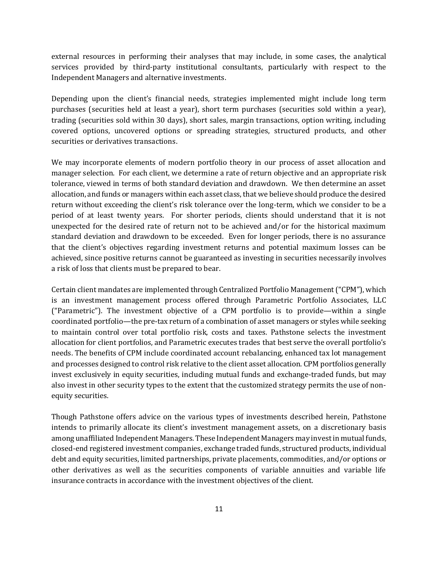external resources in performing their analyses that may include, in some cases, the analytical services provided by third-party institutional consultants, particularly with respect to the Independent Managers and alternative investments.

Depending upon the client's financial needs, strategies implemented might include long term purchases (securities held at least a year), short term purchases (securities sold within a year), trading (securities sold within 30 days), short sales, margin transactions, option writing, including covered options, uncovered options or spreading strategies, structured products, and other securities or derivatives transactions.

We may incorporate elements of modern portfolio theory in our process of asset allocation and manager selection. For each client, we determine a rate of return objective and an appropriate risk tolerance, viewed in terms of both standard deviation and drawdown. We then determine an asset allocation, and funds or managers within each asset class, that we believe should produce the desired return without exceeding the client's risk tolerance over the long-term, which we consider to be a period of at least twenty years. For shorter periods, clients should understand that it is not unexpected for the desired rate of return not to be achieved and/or for the historical maximum standard deviation and drawdown to be exceeded. Even for longer periods, there is no assurance that the client's objectives regarding investment returns and potential maximum losses can be achieved, since positive returns cannot be guaranteed as investing in securities necessarily involves a risk of loss that clients must be prepared to bear.

Certain client mandates are implemented through Centralized Portfolio Management ("CPM"), which is an investment management process offered through Parametric Portfolio Associates, LLC ("Parametric"). The investment objective of a CPM portfolio is to provide—within a single coordinated portfolio—the pre-tax return of a combination of asset managers or styles while seeking to maintain control over total portfolio risk, costs and taxes. Pathstone selects the investment allocation for client portfolios, and Parametric executes trades that best serve the overall portfolio's needs. The benefits of CPM include coordinated account rebalancing, enhanced tax lot management and processes designed to control risk relative to the client asset allocation. CPM portfolios generally invest exclusively in equity securities, including mutual funds and exchange-traded funds, but may also invest in other security types to the extent that the customized strategy permits the use of nonequity securities.

Though Pathstone offers advice on the various types of investments described herein, Pathstone intends to primarily allocate its client's investment management assets, on a discretionary basis among unaffiliated Independent Managers*.* These Independent Managers may invest in mutual funds, closed-end registered investment companies, exchange traded funds, structured products, individual debt and equity securities, limited partnerships, private placements, commodities, and/or options or other derivatives as well as the securities components of variable annuities and variable life insurance contracts in accordance with the investment objectives of the client.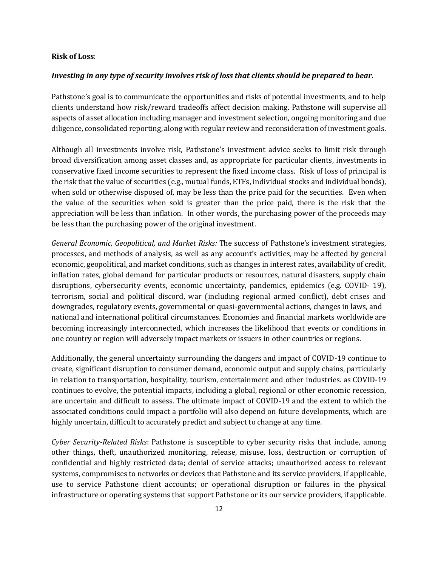#### **Risk of Loss**:

#### *Investing in any type of security involves risk of loss that clients should be prepared to bear.*

Pathstone's goal is to communicate the opportunities and risks of potential investments, and to help clients understand how risk/reward tradeoffs affect decision making. Pathstone will supervise all aspects of asset allocation including manager and investment selection, ongoing monitoring and due diligence, consolidated reporting, along with regular review and reconsideration of investment goals.

Although all investments involve risk, Pathstone's investment advice seeks to limit risk through broad diversification among asset classes and, as appropriate for particular clients, investments in conservative fixed income securities to represent the fixed income class. Risk of loss of principal is the risk that the value of securities (e.g., mutual funds, ETFs, individual stocks and individual bonds), when sold or otherwise disposed of, may be less than the price paid for the securities. Even when the value of the securities when sold is greater than the price paid, there is the risk that the appreciation will be less than inflation. In other words, the purchasing power of the proceeds may be less than the purchasing power of the original investment.

*General Economic, Geopolitical, and Market Risks:* The success of Pathstone's investment strategies, processes, and methods of analysis, as well as any account's activities, may be affected by general economic, geopolitical, and market conditions, such as changes in interest rates, availability of credit, inflation rates, global demand for particular products or resources, natural disasters, supply chain disruptions, cybersecurity events, economic uncertainty, pandemics, epidemics (e.g. COVID- 19), terrorism, social and political discord, war (including regional armed conflict), debt crises and downgrades, regulatory events, governmental or quasi-governmental actions, changes in laws, and national and international political circumstances. Economies and financial markets worldwide are becoming increasingly interconnected, which increases the likelihood that events or conditions in one country or region will adversely impact markets or issuers in other countries or regions.

Additionally, the general uncertainty surrounding the dangers and impact of COVID-19 continue to create, significant disruption to consumer demand, economic output and supply chains, particularly in relation to transportation, hospitality, tourism, entertainment and other industries. as COVID-19 continues to evolve, the potential impacts, including a global, regional or other economic recession, are uncertain and difficult to assess. The ultimate impact of COVID-19 and the extent to which the associated conditions could impact a portfolio will also depend on future developments, which are highly uncertain, difficult to accurately predict and subject to change at any time.

*Cyber Security-Related Risks*: Pathstone is susceptible to cyber security risks that include, among other things, theft, unauthorized monitoring, release, misuse, loss, destruction or corruption of confidential and highly restricted data; denial of service attacks; unauthorized access to relevant systems, compromises to networks or devices that Pathstone and its service providers, if applicable, use to service Pathstone client accounts; or operational disruption or failures in the physical infrastructure or operating systems that support Pathstone or its our service providers, if applicable.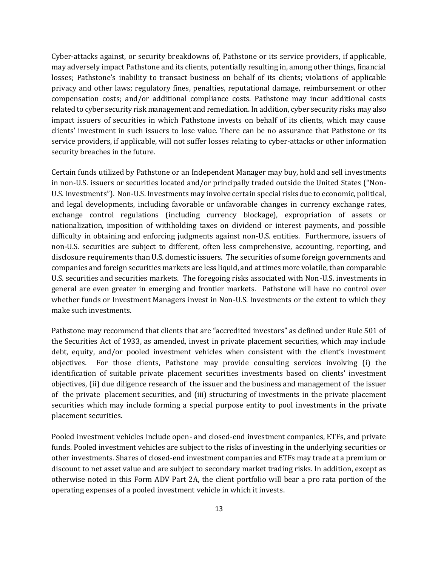Cyber-attacks against, or security breakdowns of, Pathstone or its service providers, if applicable, may adversely impact Pathstone and its clients, potentially resulting in, among other things, financial losses; Pathstone's inability to transact business on behalf of its clients; violations of applicable privacy and other laws; regulatory fines, penalties, reputational damage, reimbursement or other compensation costs; and/or additional compliance costs. Pathstone may incur additional costs related to cyber security risk management and remediation. In addition, cyber security risks may also impact issuers of securities in which Pathstone invests on behalf of its clients, which may cause clients' investment in such issuers to lose value. There can be no assurance that Pathstone or its service providers, if applicable, will not suffer losses relating to cyber-attacks or other information security breaches in the future.

Certain funds utilized by Pathstone or an Independent Manager may buy, hold and sell investments in non-U.S. issuers or securities located and/or principally traded outside the United States ("Non-U.S. Investments"). Non-U.S. Investments may involve certain special risks due to economic, political, and legal developments, including favorable or unfavorable changes in currency exchange rates, exchange control regulations (including currency blockage), expropriation of assets or nationalization, imposition of withholding taxes on dividend or interest payments, and possible difficulty in obtaining and enforcing judgments against non-U.S. entities. Furthermore, issuers of non-U.S. securities are subject to different, often less comprehensive, accounting, reporting, and disclosure requirements than U.S. domestic issuers. The securities of some foreign governments and companies and foreign securities markets are less liquid, and at times more volatile, than comparable U.S. securities and securities markets. The foregoing risks associated with Non-U.S. investments in general are even greater in emerging and frontier markets. Pathstone will have no control over whether funds or Investment Managers invest in Non-U.S. Investments or the extent to which they make such investments.

Pathstone may recommend that clients that are "accredited investors" as defined under Rule 501 of the Securities Act of 1933, as amended, invest in private placement securities, which may include debt, equity, and/or pooled investment vehicles when consistent with the client's investment objectives. For those clients, Pathstone may provide consulting services involving (i) the identification of suitable private placement securities investments based on clients' investment objectives, (ii) due diligence research of the issuer and the business and management of the issuer of the private placement securities, and (iii) structuring of investments in the private placement securities which may include forming a special purpose entity to pool investments in the private placement securities.

Pooled investment vehicles include open- and closed-end investment companies, ETFs, and private funds. Pooled investment vehicles are subject to the risks of investing in the underlying securities or other investments. Shares of closed-end investment companies and ETFs may trade at a premium or discount to net asset value and are subject to secondary market trading risks. In addition, except as otherwise noted in this Form ADV Part 2A, the client portfolio will bear a pro rata portion of the operating expenses of a pooled investment vehicle in which it invests.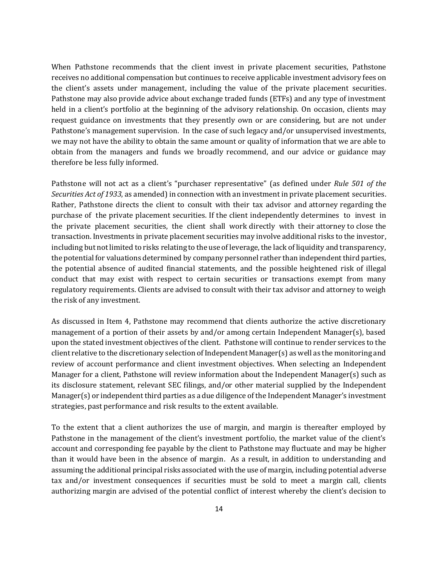When Pathstone recommends that the client invest in private placement securities, Pathstone receives no additional compensation but continues to receive applicable investment advisory fees on the client's assets under management, including the value of the private placement securities. Pathstone may also provide advice about exchange traded funds (ETFs) and any type of investment held in a client's portfolio at the beginning of the advisory relationship. On occasion, clients may request guidance on investments that they presently own or are considering, but are not under Pathstone's management supervision. In the case of such legacy and/or unsupervised investments, we may not have the ability to obtain the same amount or quality of information that we are able to obtain from the managers and funds we broadly recommend, and our advice or guidance may therefore be less fully informed.

Pathstone will not act as a client's "purchaser representative" (as defined under *Rule 501 of the Securities Act of 1933*, as amended) in connection with an investment in private placement securities. Rather, Pathstone directs the client to consult with their tax advisor and attorney regarding the purchase of the private placement securities. If the client independently determines to invest in the private placement securities, the client shall work directly with their attorney to close the transaction. Investments in private placement securities may involve additional risks to the investor, including but not limited to risks relating to the use of leverage, the lack of liquidity and transparency, the potential for valuations determined by company personnel rather than independent third parties, the potential absence of audited financial statements, and the possible heightened risk of illegal conduct that may exist with respect to certain securities or transactions exempt from many regulatory requirements. Clients are advised to consult with their tax advisor and attorney to weigh the risk of any investment.

As discussed in Item 4, Pathstone may recommend that clients authorize the active discretionary management of a portion of their assets by and/or among certain Independent Manager(s), based upon the stated investment objectives of the client. Pathstone will continue to render services to the client relative to the discretionary selection of Independent Manager(s) as well as the monitoring and review of account performance and client investment objectives. When selecting an Independent Manager for a client, Pathstone will review information about the Independent Manager(s) such as its disclosure statement, relevant SEC filings, and/or other material supplied by the Independent Manager(s) or independent third parties as a due diligence of the Independent Manager's investment strategies, past performance and risk results to the extent available.

To the extent that a client authorizes the use of margin, and margin is thereafter employed by Pathstone in the management of the client's investment portfolio, the market value of the client's account and corresponding fee payable by the client to Pathstone may fluctuate and may be higher than it would have been in the absence of margin. As a result, in addition to understanding and assuming the additional principal risks associated with the use of margin, including potential adverse tax and/or investment consequences if securities must be sold to meet a margin call, clients authorizing margin are advised of the potential conflict of interest whereby the client's decision to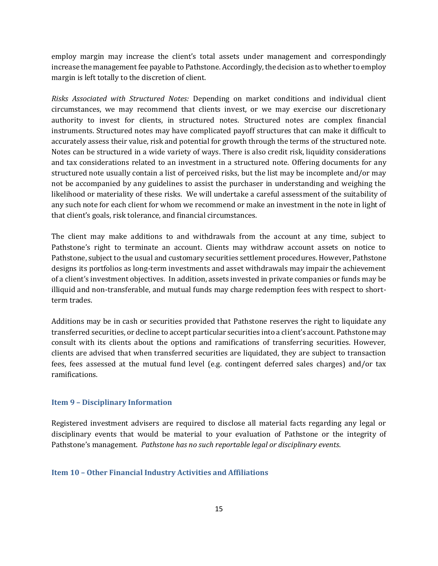employ margin may increase the client's total assets under management and correspondingly increase the management fee payable to Pathstone. Accordingly, the decision as to whether to employ margin is left totally to the discretion of client.

*Risks Associated with Structured Notes:* Depending on market conditions and individual client circumstances, we may recommend that clients invest, or we may exercise our discretionary authority to invest for clients, in structured notes. Structured notes are complex financial instruments. Structured notes may have complicated payoff structures that can make it difficult to accurately assess their value, risk and potential for growth through the terms of the structured note. Notes can be structured in a wide variety of ways. There is also credit risk, liquidity considerations and tax considerations related to an investment in a structured note. Offering documents for any structured note usually contain a list of perceived risks, but the list may be incomplete and/or may not be accompanied by any guidelines to assist the purchaser in understanding and weighing the likelihood or materiality of these risks. We will undertake a careful assessment of the suitability of any such note for each client for whom we recommend or make an investment in the note in light of that client's goals, risk tolerance, and financial circumstances.

The client may make additions to and withdrawals from the account at any time, subject to Pathstone's right to terminate an account. Clients may withdraw account assets on notice to Pathstone, subject to the usual and customary securities settlement procedures. However, Pathstone designs its portfolios as long-term investments and asset withdrawals may impair the achievement of a client's investment objectives. In addition, assets invested in private companies or funds may be illiquid and non-transferable, and mutual funds may charge redemption fees with respect to shortterm trades.

Additions may be in cash or securities provided that Pathstone reserves the right to liquidate any transferred securities, or decline to accept particular securities into a client's account. Pathstone may consult with its clients about the options and ramifications of transferring securities. However, clients are advised that when transferred securities are liquidated, they are subject to transaction fees, fees assessed at the mutual fund level (e.g. contingent deferred sales charges) and/or tax ramifications.

## <span id="page-17-0"></span>**Item 9 – Disciplinary Information**

Registered investment advisers are required to disclose all material facts regarding any legal or disciplinary events that would be material to your evaluation of Pathstone or the integrity of Pathstone's management. *Pathstone has no such reportable legal or disciplinary events*.

## <span id="page-17-1"></span>**Item 10 – Other Financial Industry Activities and Affiliations**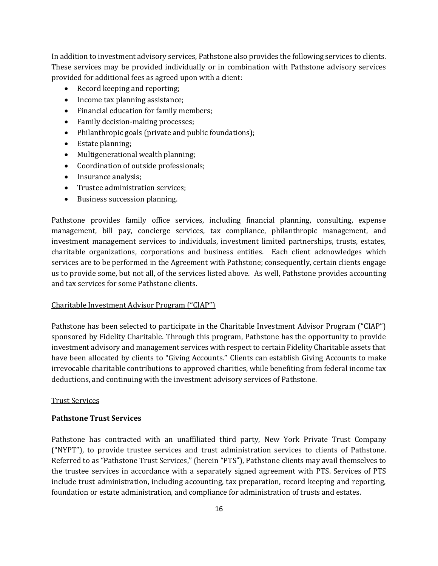In addition to investment advisory services, Pathstone also provides the following services to clients. These services may be provided individually or in combination with Pathstone advisory services provided for additional fees as agreed upon with a client:

- Record keeping and reporting;
- Income tax planning assistance;
- Financial education for family members;
- Family decision-making processes;
- Philanthropic goals (private and public foundations);
- Estate planning;
- Multigenerational wealth planning;
- Coordination of outside professionals;
- Insurance analysis;
- Trustee administration services;
- Business succession planning.

Pathstone provides family office services, including financial planning, consulting, expense management, bill pay, concierge services, tax compliance, philanthropic management, and investment management services to individuals, investment limited partnerships, trusts, estates, charitable organizations, corporations and business entities. Each client acknowledges which services are to be performed in the Agreement with Pathstone; consequently, certain clients engage us to provide some, but not all, of the services listed above. As well, Pathstone provides accounting and tax services for some Pathstone clients.

## Charitable Investment Advisor Program ("CIAP")

Pathstone has been selected to participate in the Charitable Investment Advisor Program ("CIAP") sponsored by Fidelity Charitable. Through this program, Pathstone has the opportunity to provide investment advisory and management services with respect to certain Fidelity Charitable assets that have been allocated by clients to "Giving Accounts." Clients can establish Giving Accounts to make irrevocable charitable contributions to approved charities, while benefiting from federal income tax deductions, and continuing with the investment advisory services of Pathstone.

## Trust Services

## **Pathstone Trust Services**

Pathstone has contracted with an unaffiliated third party, New York Private Trust Company ("NYPT"), to provide trustee services and trust administration services to clients of Pathstone. Referred to as "Pathstone Trust Services," (herein "PTS"), Pathstone clients may avail themselves to the trustee services in accordance with a separately signed agreement with PTS. Services of PTS include trust administration, including accounting, tax preparation, record keeping and reporting, foundation or estate administration, and compliance for administration of trusts and estates.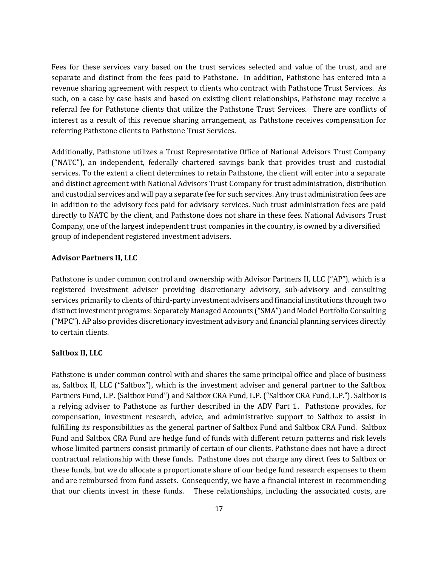Fees for these services vary based on the trust services selected and value of the trust, and are separate and distinct from the fees paid to Pathstone. In addition, Pathstone has entered into a revenue sharing agreement with respect to clients who contract with Pathstone Trust Services. As such, on a case by case basis and based on existing client relationships, Pathstone may receive a referral fee for Pathstone clients that utilize the Pathstone Trust Services. There are conflicts of interest as a result of this revenue sharing arrangement, as Pathstone receives compensation for referring Pathstone clients to Pathstone Trust Services.

Additionally, Pathstone utilizes a Trust Representative Office of National Advisors Trust Company ("NATC"), an independent, federally chartered savings bank that provides trust and custodial services. To the extent a client determines to retain Pathstone, the client will enter into a separate and distinct agreement with National Advisors Trust Company for trust administration, distribution and custodial services and will pay a separate fee for such services. Any trust administration fees are in addition to the advisory fees paid for advisory services. Such trust administration fees are paid directly to NATC by the client, and Pathstone does not share in these fees. National Advisors Trust Company, one of the largest independent trust companies in the country, is owned by a diversified group of independent registered investment advisers.

#### **Advisor Partners II, LLC**

Pathstone is under common control and ownership with Advisor Partners II, LLC ("AP"), which is a registered investment adviser providing discretionary advisory, sub-advisory and consulting services primarily to clients of third-party investment advisers and financial institutions through two distinct investment programs: Separately Managed Accounts ("SMA") and Model Portfolio Consulting ("MPC"). AP also provides discretionary investment advisory and financial planning services directly to certain clients.

#### **Saltbox II, LLC**

Pathstone is under common control with and shares the same principal office and place of business as, Saltbox II, LLC ("Saltbox"), which is the investment adviser and general partner to the Saltbox Partners Fund, L.P. (Saltbox Fund") and Saltbox CRA Fund, L.P. ("Saltbox CRA Fund, L.P."). Saltbox is a relying adviser to Pathstone as further described in the ADV Part 1. Pathstone provides, for compensation, investment research, advice, and administrative support to Saltbox to assist in fulfilling its responsibilities as the general partner of Saltbox Fund and Saltbox CRA Fund. Saltbox Fund and Saltbox CRA Fund are hedge fund of funds with different return patterns and risk levels whose limited partners consist primarily of certain of our clients. Pathstone does not have a direct contractual relationship with these funds. Pathstone does not charge any direct fees to Saltbox or these funds, but we do allocate a proportionate share of our hedge fund research expenses to them and are reimbursed from fund assets. Consequently, we have a financial interest in recommending that our clients invest in these funds. These relationships, including the associated costs, are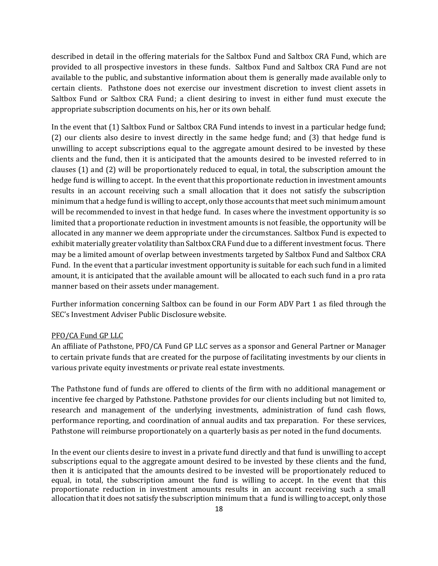described in detail in the offering materials for the Saltbox Fund and Saltbox CRA Fund, which are provided to all prospective investors in these funds. Saltbox Fund and Saltbox CRA Fund are not available to the public, and substantive information about them is generally made available only to certain clients. Pathstone does not exercise our investment discretion to invest client assets in Saltbox Fund or Saltbox CRA Fund; a client desiring to invest in either fund must execute the appropriate subscription documents on his, her or its own behalf.

In the event that (1) Saltbox Fund or Saltbox CRA Fund intends to invest in a particular hedge fund; (2) our clients also desire to invest directly in the same hedge fund; and (3) that hedge fund is unwilling to accept subscriptions equal to the aggregate amount desired to be invested by these clients and the fund, then it is anticipated that the amounts desired to be invested referred to in clauses (1) and (2) will be proportionately reduced to equal, in total, the subscription amount the hedge fund is willing to accept. In the event that this proportionate reduction in investment amounts results in an account receiving such a small allocation that it does not satisfy the subscription minimum that a hedge fund is willing to accept, only those accounts that meet such minimum amount will be recommended to invest in that hedge fund. In cases where the investment opportunity is so limited that a proportionate reduction in investment amounts is not feasible, the opportunity will be allocated in any manner we deem appropriate under the circumstances. Saltbox Fund is expected to exhibit materially greater volatility than Saltbox CRA Fund due to a different investment focus. There may be a limited amount of overlap between investments targeted by Saltbox Fund and Saltbox CRA Fund. In the event that a particular investment opportunity is suitable for each such fund in a limited amount, it is anticipated that the available amount will be allocated to each such fund in a pro rata manner based on their assets under management.

Further information concerning Saltbox can be found in our Form ADV Part 1 as filed through the SEC's Investment Adviser Public Disclosure website.

#### PFO/CA Fund GP LLC

An affiliate of Pathstone, PFO/CA Fund GP LLC serves as a sponsor and General Partner or Manager to certain private funds that are created for the purpose of facilitating investments by our clients in various private equity investments or private real estate investments.

The Pathstone fund of funds are offered to clients of the firm with no additional management or incentive fee charged by Pathstone. Pathstone provides for our clients including but not limited to, research and management of the underlying investments, administration of fund cash flows, performance reporting, and coordination of annual audits and tax preparation. For these services, Pathstone will reimburse proportionately on a quarterly basis as per noted in the fund documents.

In the event our clients desire to invest in a private fund directly and that fund is unwilling to accept subscriptions equal to the aggregate amount desired to be invested by these clients and the fund, then it is anticipated that the amounts desired to be invested will be proportionately reduced to equal, in total, the subscription amount the fund is willing to accept. In the event that this proportionate reduction in investment amounts results in an account receiving such a small allocation that it does not satisfy the subscription minimum that a fund is willing to accept, only those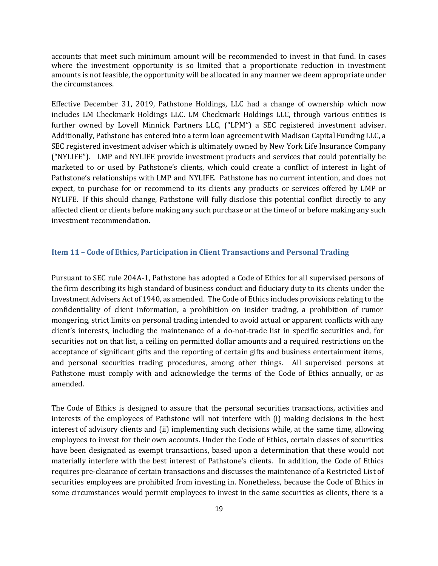accounts that meet such minimum amount will be recommended to invest in that fund. In cases where the investment opportunity is so limited that a proportionate reduction in investment amounts is not feasible, the opportunity will be allocated in any manner we deem appropriate under the circumstances.

Effective December 31, 2019, Pathstone Holdings, LLC had a change of ownership which now includes LM Checkmark Holdings LLC. LM Checkmark Holdings LLC, through various entities is further owned by Lovell Minnick Partners LLC, ("LPM") a SEC registered investment adviser. Additionally, Pathstone has entered into a term loan agreement with Madison Capital Funding LLC, a SEC registered investment adviser which is ultimately owned by New York Life Insurance Company ("NYLIFE"). LMP and NYLIFE provide investment products and services that could potentially be marketed to or used by Pathstone's clients, which could create a conflict of interest in light of Pathstone's relationships with LMP and NYLIFE. Pathstone has no current intention, and does not expect, to purchase for or recommend to its clients any products or services offered by LMP or NYLIFE. If this should change, Pathstone will fully disclose this potential conflict directly to any affected client or clients before making any such purchase or at the time of or before making any such investment recommendation.

#### <span id="page-21-0"></span>**Item 11 – Code of Ethics, Participation in Client Transactions and Personal Trading**

Pursuant to SEC rule 204A-1, Pathstone has adopted a Code of Ethics for all supervised persons of the firm describing its high standard of business conduct and fiduciary duty to its clients under the Investment Advisers Act of 1940, as amended. The Code of Ethics includes provisions relating to the confidentiality of client information, a prohibition on insider trading, a prohibition of rumor mongering, strict limits on personal trading intended to avoid actual or apparent conflicts with any client's interests, including the maintenance of a do-not-trade list in specific securities and, for securities not on that list, a ceiling on permitted dollar amounts and a required restrictions on the acceptance of significant gifts and the reporting of certain gifts and business entertainment items, and personal securities trading procedures, among other things. All supervised persons at Pathstone must comply with and acknowledge the terms of the Code of Ethics annually, or as amended.

The Code of Ethics is designed to assure that the personal securities transactions, activities and interests of the employees of Pathstone will not interfere with (i) making decisions in the best interest of advisory clients and (ii) implementing such decisions while, at the same time, allowing employees to invest for their own accounts. Under the Code of Ethics, certain classes of securities have been designated as exempt transactions, based upon a determination that these would not materially interfere with the best interest of Pathstone's clients. In addition, the Code of Ethics requires pre-clearance of certain transactions and discusses the maintenance of a Restricted List of securities employees are prohibited from investing in. Nonetheless, because the Code of Ethics in some circumstances would permit employees to invest in the same securities as clients, there is a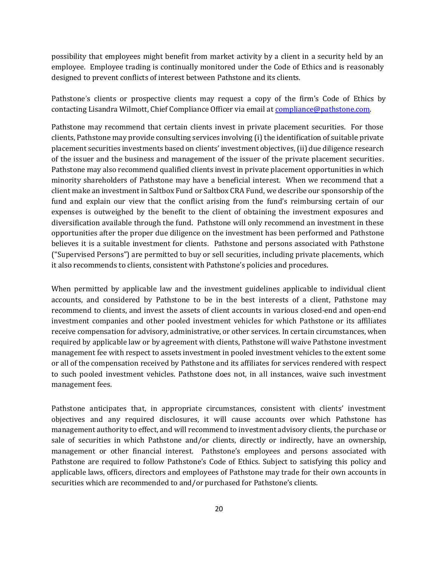possibility that employees might benefit from market activity by a client in a security held by an employee. Employee trading is continually monitored under the Code of Ethics and is reasonably designed to prevent conflicts of interest between Pathstone and its clients.

Pathstone's clients or prospective clients may request a copy of the firm's Code of Ethics by contacting Lisandra Wilmott, Chief Compliance Officer via email a[t compliance@pathstone.com.](mailto:msher@pathstone.com)

Pathstone may recommend that certain clients invest in private placement securities. For those clients, Pathstone may provide consulting services involving (i) the identification of suitable private placement securities investments based on clients' investment objectives, (ii) due diligence research of the issuer and the business and management of the issuer of the private placement securities. Pathstone may also recommend qualified clients invest in private placement opportunities in which minority shareholders of Pathstone may have a beneficial interest. When we recommend that a client make an investment in Saltbox Fund or Saltbox CRA Fund, we describe our sponsorship of the fund and explain our view that the conflict arising from the fund's reimbursing certain of our expenses is outweighed by the benefit to the client of obtaining the investment exposures and diversification available through the fund. Pathstone will only recommend an investment in these opportunities after the proper due diligence on the investment has been performed and Pathstone believes it is a suitable investment for clients. Pathstone and persons associated with Pathstone ("Supervised Persons") are permitted to buy or sell securities, including private placements, which it also recommends to clients, consistent with Pathstone's policies and procedures.

When permitted by applicable law and the investment guidelines applicable to individual client accounts, and considered by Pathstone to be in the best interests of a client, Pathstone may recommend to clients, and invest the assets of client accounts in various closed-end and open-end investment companies and other pooled investment vehicles for which Pathstone or its affiliates receive compensation for advisory, administrative, or other services. In certain circumstances, when required by applicable law or by agreement with clients, Pathstone will waive Pathstone investment management fee with respect to assets investment in pooled investment vehicles to the extent some or all of the compensation received by Pathstone and its affiliates for services rendered with respect to such pooled investment vehicles. Pathstone does not, in all instances, waive such investment management fees.

Pathstone anticipates that, in appropriate circumstances, consistent with clients' investment objectives and any required disclosures, it will cause accounts over which Pathstone has management authority to effect, and will recommend to investment advisory clients, the purchase or sale of securities in which Pathstone and/or clients, directly or indirectly, have an ownership, management or other financial interest. Pathstone's employees and persons associated with Pathstone are required to follow Pathstone's Code of Ethics. Subject to satisfying this policy and applicable laws, officers, directors and employees of Pathstone may trade for their own accounts in securities which are recommended to and/or purchased for Pathstone's clients.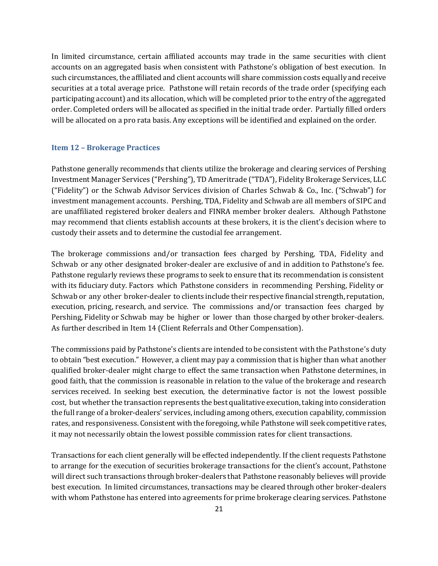In limited circumstance, certain affiliated accounts may trade in the same securities with client accounts on an aggregated basis when consistent with Pathstone's obligation of best execution. In such circumstances, the affiliated and client accounts will share commission costs equally and receive securities at a total average price. Pathstone will retain records of the trade order (specifying each participating account) and its allocation, which will be completed prior to the entry of the aggregated order. Completed orders will be allocated as specified in the initial trade order. Partially filled orders will be allocated on a pro rata basis. Any exceptions will be identified and explained on the order.

#### <span id="page-23-0"></span>**Item 12 – Brokerage Practices**

Pathstone generally recommends that clients utilize the brokerage and clearing services of Pershing Investment Manager Services ("Pershing"), TD Ameritrade ("TDA"), Fidelity Brokerage Services, LLC ("Fidelity") or the Schwab Advisor Services division of Charles Schwab & Co., Inc. ("Schwab") for investment management accounts. Pershing, TDA, Fidelity and Schwab are all members of SIPC and are unaffiliated registered broker dealers and FINRA member broker dealers. Although Pathstone may recommend that clients establish accounts at these brokers, it is the client's decision where to custody their assets and to determine the custodial fee arrangement.

The brokerage commissions and/or transaction fees charged by Pershing*,* TDA, Fidelity and Schwab or any other designated broker-dealer are exclusive of and in addition to Pathstone's fee. Pathstone regularly reviews these programs to seek to ensure that its recommendation is consistent with its fiduciary duty. Factors which Pathstone considers in recommending Pershing, Fidelity or Schwab or any other broker-dealer to clients include their respective financial strength, reputation, execution, pricing, research, and service. The commissions and/or transaction fees charged by Pershing, Fidelity or Schwab may be higher or lower than those charged by other broker-dealers. As further described in Item 14 (Client Referrals and Other Compensation).

The commissions paid by Pathstone's clients are intended to be consistent with the Pathstone's duty to obtain "best execution." However, a client may pay a commission that is higher than what another qualified broker-dealer might charge to effect the same transaction when Pathstone determines, in good faith, that the commission is reasonable in relation to the value of the brokerage and research services received. In seeking best execution, the determinative factor is not the lowest possible cost, but whether the transaction represents the best qualitative execution, taking into consideration the full range of a broker-dealers' services, including among others, execution capability, commission rates, and responsiveness. Consistent with the foregoing, while Pathstone will seek competitive rates, it may not necessarily obtain the lowest possible commission rates for client transactions.

Transactions for each client generally will be effected independently. If the client requests Pathstone to arrange for the execution of securities brokerage transactions for the client's account, Pathstone will direct such transactions through broker-dealers that Pathstone reasonably believes will provide best execution. In limited circumstances, transactions may be cleared through other broker-dealers with whom Pathstone has entered into agreements for prime brokerage clearing services. Pathstone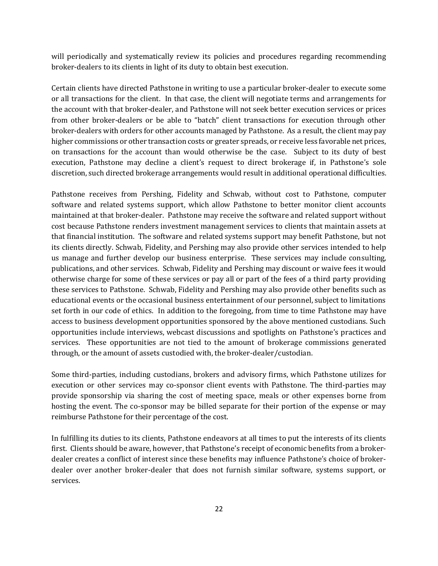will periodically and systematically review its policies and procedures regarding recommending broker-dealers to its clients in light of its duty to obtain best execution.

Certain clients have directed Pathstone in writing to use a particular broker-dealer to execute some or all transactions for the client. In that case, the client will negotiate terms and arrangements for the account with that broker-dealer, and Pathstone will not seek better execution services or prices from other broker-dealers or be able to "batch" client transactions for execution through other broker-dealers with orders for other accounts managed by Pathstone. As a result, the client may pay higher commissions or other transaction costs or greater spreads, or receive less favorable net prices, on transactions for the account than would otherwise be the case. Subject to its duty of best execution, Pathstone may decline a client's request to direct brokerage if, in Pathstone's sole discretion, such directed brokerage arrangements would result in additional operational difficulties.

Pathstone receives from Pershing, Fidelity and Schwab, without cost to Pathstone, computer software and related systems support, which allow Pathstone to better monitor client accounts maintained at that broker-dealer. Pathstone may receive the software and related support without cost because Pathstone renders investment management services to clients that maintain assets at that financial institution. The software and related systems support may benefit Pathstone, but not its clients directly. Schwab, Fidelity, and Pershing may also provide other services intended to help us manage and further develop our business enterprise. These services may include consulting, publications, and other services. Schwab, Fidelity and Pershing may discount or waive fees it would otherwise charge for some of these services or pay all or part of the fees of a third party providing these services to Pathstone. Schwab, Fidelity and Pershing may also provide other benefits such as educational events or the occasional business entertainment of our personnel, subject to limitations set forth in our code of ethics. In addition to the foregoing, from time to time Pathstone may have access to business development opportunities sponsored by the above mentioned custodians. Such opportunities include interviews, webcast discussions and spotlights on Pathstone's practices and services. These opportunities are not tied to the amount of brokerage commissions generated through, or the amount of assets custodied with, the broker-dealer/custodian.

Some third-parties, including custodians, brokers and advisory firms, which Pathstone utilizes for execution or other services may co-sponsor client events with Pathstone. The third-parties may provide sponsorship via sharing the cost of meeting space, meals or other expenses borne from hosting the event. The co-sponsor may be billed separate for their portion of the expense or may reimburse Pathstone for their percentage of the cost.

In fulfilling its duties to its clients, Pathstone endeavors at all times to put the interests of its clients first. Clients should be aware, however, that Pathstone's receipt of economic benefits from a brokerdealer creates a conflict of interest since these benefits may influence Pathstone's choice of brokerdealer over another broker-dealer that does not furnish similar software, systems support, or services.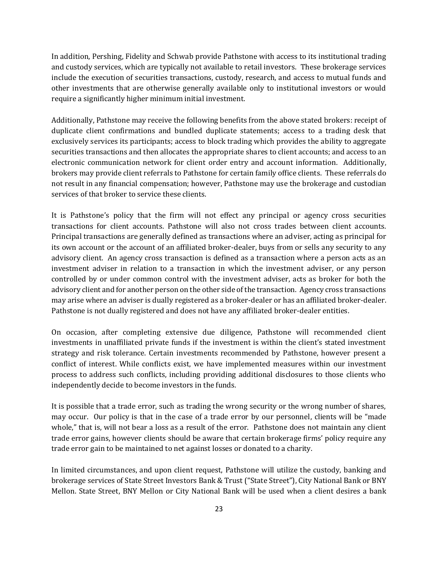In addition, Pershing, Fidelity and Schwab provide Pathstone with access to its institutional trading and custody services, which are typically not available to retail investors. These brokerage services include the execution of securities transactions, custody, research, and access to mutual funds and other investments that are otherwise generally available only to institutional investors or would require a significantly higher minimum initial investment.

Additionally, Pathstone may receive the following benefits from the above stated brokers: receipt of duplicate client confirmations and bundled duplicate statements; access to a trading desk that exclusively services its participants; access to block trading which provides the ability to aggregate securities transactions and then allocates the appropriate shares to client accounts; and access to an electronic communication network for client order entry and account information. Additionally, brokers may provide client referrals to Pathstone for certain family office clients. These referrals do not result in any financial compensation; however, Pathstone may use the brokerage and custodian services of that broker to service these clients.

It is Pathstone's policy that the firm will not effect any principal or agency cross securities transactions for client accounts. Pathstone will also not cross trades between client accounts. Principal transactions are generally defined as transactions where an adviser, acting as principal for its own account or the account of an affiliated broker-dealer, buys from or sells any security to any advisory client. An agency cross transaction is defined as a transaction where a person acts as an investment adviser in relation to a transaction in which the investment adviser, or any person controlled by or under common control with the investment adviser, acts as broker for both the advisory client and for another person on the other side of the transaction. Agency cross transactions may arise where an adviser is dually registered as a broker-dealer or has an affiliated broker-dealer. Pathstone is not dually registered and does not have any affiliated broker-dealer entities.

On occasion, after completing extensive due diligence, Pathstone will recommended client investments in unaffiliated private funds if the investment is within the client's stated investment strategy and risk tolerance. Certain investments recommended by Pathstone, however present a conflict of interest. While conflicts exist, we have implemented measures within our investment process to address such conflicts, including providing additional disclosures to those clients who independently decide to become investors in the funds.

It is possible that a trade error, such as trading the wrong security or the wrong number of shares, may occur. Our policy is that in the case of a trade error by our personnel, clients will be "made whole," that is, will not bear a loss as a result of the error. Pathstone does not maintain any client trade error gains, however clients should be aware that certain brokerage firms' policy require any trade error gain to be maintained to net against losses or donated to a charity.

In limited circumstances, and upon client request, Pathstone will utilize the custody, banking and brokerage services of State Street Investors Bank & Trust ("State Street"), City National Bank or BNY Mellon. State Street, BNY Mellon or City National Bank will be used when a client desires a bank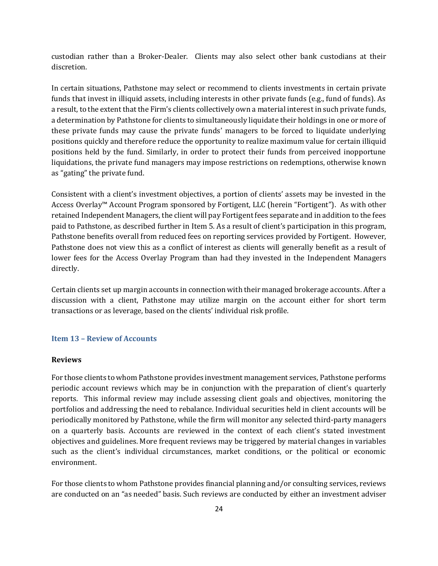custodian rather than a Broker-Dealer. Clients may also select other bank custodians at their discretion.

In certain situations, Pathstone may select or recommend to clients investments in certain private funds that invest in illiquid assets, including interests in other private funds (e.g., fund of funds). As a result, to the extent that the Firm's clients collectively own a material interest in such private funds, a determination by Pathstone for clients to simultaneously liquidate their holdings in one or more of these private funds may cause the private funds' managers to be forced to liquidate underlying positions quickly and therefore reduce the opportunity to realize maximum value for certain illiquid positions held by the fund. Similarly, in order to protect their funds from perceived inopportune liquidations, the private fund managers may impose restrictions on redemptions, otherwise known as "gating" the private fund.

Consistent with a client's investment objectives, a portion of clients' assets may be invested in the Access Overlay™ Account Program sponsored by Fortigent, LLC (herein "Fortigent"). As with other retained Independent Managers, the client will pay Fortigent fees separate and in addition to the fees paid to Pathstone, as described further in Item 5. As a result of client's participation in this program, Pathstone benefits overall from reduced fees on reporting services provided by Fortigent. However, Pathstone does not view this as a conflict of interest as clients will generally benefit as a result of lower fees for the Access Overlay Program than had they invested in the Independent Managers directly.

Certain clients set up margin accounts in connection with their managed brokerage accounts. After a discussion with a client, Pathstone may utilize margin on the account either for short term transactions or as leverage, based on the clients' individual risk profile.

## <span id="page-26-0"></span>**Item 13 – Review of Accounts**

#### **Reviews**

For those clients to whom Pathstone provides investment management services, Pathstone performs periodic account reviews which may be in conjunction with the preparation of client's quarterly reports. This informal review may include assessing client goals and objectives, monitoring the portfolios and addressing the need to rebalance. Individual securities held in client accounts will be periodically monitored by Pathstone, while the firm will monitor any selected third-party managers on a quarterly basis. Accounts are reviewed in the context of each client's stated investment objectives and guidelines. More frequent reviews may be triggered by material changes in variables such as the client's individual circumstances, market conditions, or the political or economic environment.

For those clients to whom Pathstone provides financial planning and/or consulting services, reviews are conducted on an "as needed" basis. Such reviews are conducted by either an investment adviser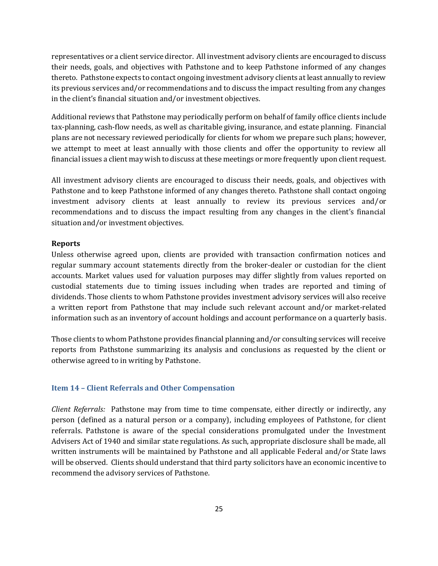representatives or a client service director. All investment advisory clients are encouraged to discuss their needs, goals, and objectives with Pathstone and to keep Pathstone informed of any changes thereto. Pathstone expects to contact ongoing investment advisory clients at least annually to review its previous services and/or recommendations and to discuss the impact resulting from any changes in the client's financial situation and/or investment objectives.

Additional reviews that Pathstone may periodically perform on behalf of family office clients include tax-planning, cash-flow needs, as well as charitable giving, insurance, and estate planning. Financial plans are not necessary reviewed periodically for clients for whom we prepare such plans; however, we attempt to meet at least annually with those clients and offer the opportunity to review all financial issues a client may wish to discuss at these meetings or more frequently upon client request.

All investment advisory clients are encouraged to discuss their needs, goals, and objectives with Pathstone and to keep Pathstone informed of any changes thereto. Pathstone shall contact ongoing investment advisory clients at least annually to review its previous services and/or recommendations and to discuss the impact resulting from any changes in the client's financial situation and/or investment objectives.

#### **Reports**

Unless otherwise agreed upon, clients are provided with transaction confirmation notices and regular summary account statements directly from the broker-dealer or custodian for the client accounts. Market values used for valuation purposes may differ slightly from values reported on custodial statements due to timing issues including when trades are reported and timing of dividends. Those clients to whom Pathstone provides investment advisory services will also receive a written report from Pathstone that may include such relevant account and/or market-related information such as an inventory of account holdings and account performance on a quarterly basis.

Those clients to whom Pathstone provides financial planning and/or consulting services will receive reports from Pathstone summarizing its analysis and conclusions as requested by the client or otherwise agreed to in writing by Pathstone.

#### <span id="page-27-0"></span>**Item 14 – Client Referrals and Other Compensation**

*Client Referrals:* Pathstone may from time to time compensate, either directly or indirectly, any person (defined as a natural person or a company), including employees of Pathstone, for client referrals. Pathstone is aware of the special considerations promulgated under the Investment Advisers Act of 1940 and similar state regulations. As such, appropriate disclosure shall be made, all written instruments will be maintained by Pathstone and all applicable Federal and/or State laws will be observed. Clients should understand that third party solicitors have an economic incentive to recommend the advisory services of Pathstone.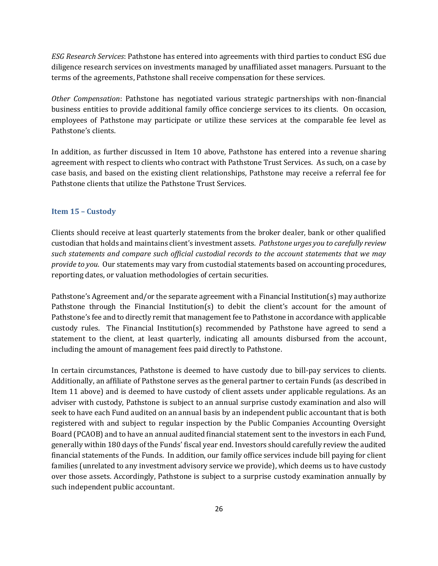*ESG Research Services*: Pathstone has entered into agreements with third parties to conduct ESG due diligence research services on investments managed by unaffiliated asset managers. Pursuant to the terms of the agreements, Pathstone shall receive compensation for these services.

*Other Compensation*: Pathstone has negotiated various strategic partnerships with non-financial business entities to provide additional family office concierge services to its clients. On occasion, employees of Pathstone may participate or utilize these services at the comparable fee level as Pathstone's clients.

In addition, as further discussed in Item 10 above, Pathstone has entered into a revenue sharing agreement with respect to clients who contract with Pathstone Trust Services. As such, on a case by case basis, and based on the existing client relationships, Pathstone may receive a referral fee for Pathstone clients that utilize the Pathstone Trust Services.

## <span id="page-28-0"></span>**Item 15 – Custody**

Clients should receive at least quarterly statements from the broker dealer, bank or other qualified custodian that holds and maintains client's investment assets. *Pathstone urges you to carefully review such statements and compare such official custodial records to the account statements that we may provide to you.* Our statements may vary from custodial statements based on accounting procedures, reporting dates, or valuation methodologies of certain securities.

Pathstone's Agreement and/or the separate agreement with a Financial Institution(s) may authorize Pathstone through the Financial Institution(s) to debit the client's account for the amount of Pathstone's fee and to directly remit that management fee to Pathstone in accordance with applicable custody rules. The Financial Institution(s) recommended by Pathstone have agreed to send a statement to the client, at least quarterly, indicating all amounts disbursed from the account, including the amount of management fees paid directly to Pathstone.

In certain circumstances, Pathstone is deemed to have custody due to bill-pay services to clients. Additionally, an affiliate of Pathstone serves as the general partner to certain Funds (as described in Item 11 above) and is deemed to have custody of client assets under applicable regulations. As an adviser with custody, Pathstone is subject to an annual surprise custody examination and also will seek to have each Fund audited on an annual basis by an independent public accountant that is both registered with and subject to regular inspection by the Public Companies Accounting Oversight Board (PCAOB) and to have an annual audited financial statement sent to the investors in each Fund, generally within 180 days of the Funds' fiscal year end. Investors should carefully review the audited financial statements of the Funds. In addition, our family office services include bill paying for client families (unrelated to any investment advisory service we provide), which deems us to have custody over those assets. Accordingly, Pathstone is subject to a surprise custody examination annually by such independent public accountant.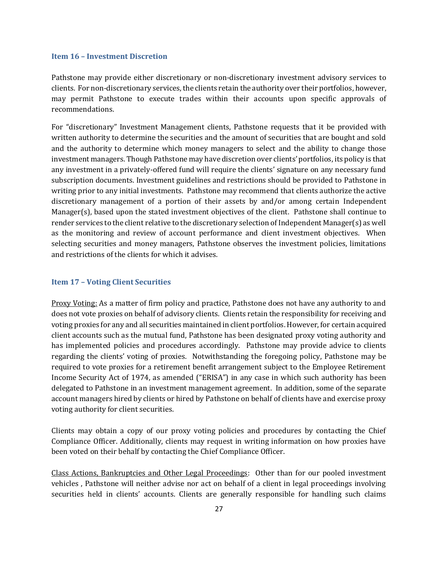#### <span id="page-29-0"></span>**Item 16 – Investment Discretion**

Pathstone may provide either discretionary or non-discretionary investment advisory services to clients. For non-discretionary services, the clients retain the authority over their portfolios, however, may permit Pathstone to execute trades within their accounts upon specific approvals of recommendations.

For "discretionary" Investment Management clients, Pathstone requests that it be provided with written authority to determine the securities and the amount of securities that are bought and sold and the authority to determine which money managers to select and the ability to change those investment managers. Though Pathstone may have discretion over clients' portfolios, its policy is that any investment in a privately-offered fund will require the clients' signature on any necessary fund subscription documents. Investment guidelines and restrictions should be provided to Pathstone in writing prior to any initial investments. Pathstone may recommend that clients authorize the active discretionary management of a portion of their assets by and/or among certain Independent Manager(s), based upon the stated investment objectives of the client. Pathstone shall continue to render services to the client relative to the discretionary selection of Independent Manager(s) as well as the monitoring and review of account performance and client investment objectives. When selecting securities and money managers, Pathstone observes the investment policies, limitations and restrictions of the clients for which it advises.

#### <span id="page-29-1"></span>**Item 17 – Voting Client Securities**

Proxy Voting: As a matter of firm policy and practice, Pathstone does not have any authority to and does not vote proxies on behalf of advisory clients. Clients retain the responsibility for receiving and voting proxies for any and all securities maintained in client portfolios. However, for certain acquired client accounts such as the mutual fund, Pathstone has been designated proxy voting authority and has implemented policies and procedures accordingly. Pathstone may provide advice to clients regarding the clients' voting of proxies. Notwithstanding the foregoing policy, Pathstone may be required to vote proxies for a retirement benefit arrangement subject to the Employee Retirement Income Security Act of 1974, as amended ("ERISA") in any case in which such authority has been delegated to Pathstone in an investment management agreement. In addition, some of the separate account managers hired by clients or hired by Pathstone on behalf of clients have and exercise proxy voting authority for client securities.

Clients may obtain a copy of our proxy voting policies and procedures by contacting the Chief Compliance Officer. Additionally, clients may request in writing information on how proxies have been voted on their behalf by contacting the Chief Compliance Officer.

Class Actions, Bankruptcies and Other Legal Proceedings: Other than for our pooled investment vehicles , Pathstone will neither advise nor act on behalf of a client in legal proceedings involving securities held in clients' accounts. Clients are generally responsible for handling such claims